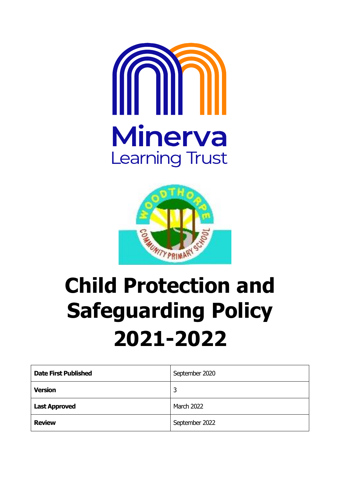



# **Child Protection and Safeguarding Policy 2021-2022**

| <b>Date First Published</b> | September 2020    |
|-----------------------------|-------------------|
| <b>Version</b>              | 3                 |
| <b>Last Approved</b>        | <b>March 2022</b> |
| <b>Review</b>               | September 2022    |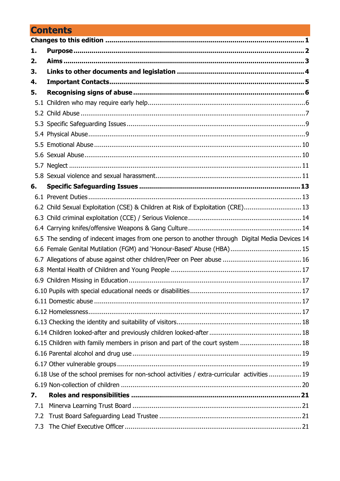# **Contents**

| 1.  |                                                                                                |  |
|-----|------------------------------------------------------------------------------------------------|--|
| 2.  |                                                                                                |  |
| 3.  |                                                                                                |  |
| 4.  |                                                                                                |  |
| 5.  |                                                                                                |  |
|     |                                                                                                |  |
|     |                                                                                                |  |
|     |                                                                                                |  |
|     |                                                                                                |  |
|     |                                                                                                |  |
|     |                                                                                                |  |
|     |                                                                                                |  |
|     |                                                                                                |  |
| 6.  |                                                                                                |  |
|     |                                                                                                |  |
|     | 6.2 Child Sexual Exploitation (CSE) & Children at Risk of Exploitation (CRE) 13                |  |
|     |                                                                                                |  |
|     |                                                                                                |  |
|     | 6.5 The sending of indecent images from one person to another through Digital Media Devices 14 |  |
|     | 6.6 Female Genital Mutilation (FGM) and 'Honour-Based' Abuse (HBA) 15                          |  |
|     |                                                                                                |  |
|     |                                                                                                |  |
|     |                                                                                                |  |
|     |                                                                                                |  |
|     |                                                                                                |  |
|     |                                                                                                |  |
|     |                                                                                                |  |
|     | 6.15 Children with family members in prison and part of the court system  18                   |  |
|     |                                                                                                |  |
|     |                                                                                                |  |
|     | 6.18 Use of the school premises for non-school activities / extra-curricular activities  19    |  |
|     |                                                                                                |  |
| 7.  |                                                                                                |  |
| 7.1 |                                                                                                |  |
| 7.2 |                                                                                                |  |
|     |                                                                                                |  |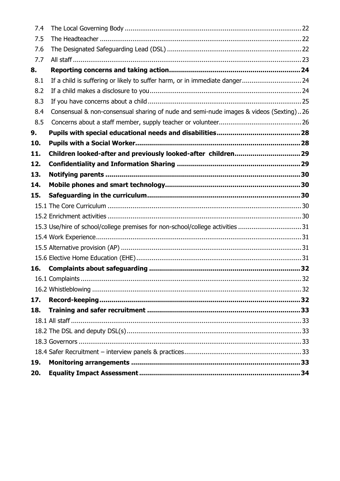| 7.4 |                                                                                       |  |
|-----|---------------------------------------------------------------------------------------|--|
| 7.5 |                                                                                       |  |
| 7.6 |                                                                                       |  |
| 7.7 |                                                                                       |  |
| 8.  |                                                                                       |  |
| 8.1 | If a child is suffering or likely to suffer harm, or in immediate danger24            |  |
| 8.2 |                                                                                       |  |
| 8.3 |                                                                                       |  |
| 8.4 | Consensual & non-consensual sharing of nude and semi-nude images & videos (Sexting)26 |  |
| 8.5 |                                                                                       |  |
| 9.  |                                                                                       |  |
| 10. |                                                                                       |  |
| 11. | Children looked-after and previously looked-after children 29                         |  |
| 12. |                                                                                       |  |
| 13. |                                                                                       |  |
| 14. |                                                                                       |  |
| 15. |                                                                                       |  |
|     |                                                                                       |  |
|     |                                                                                       |  |
|     | 15.3 Use/hire of school/college premises for non-school/college activities 31         |  |
|     |                                                                                       |  |
|     |                                                                                       |  |
|     |                                                                                       |  |
| 16. |                                                                                       |  |
|     |                                                                                       |  |
|     |                                                                                       |  |
| 17. |                                                                                       |  |
| 18. |                                                                                       |  |
|     |                                                                                       |  |
|     |                                                                                       |  |
|     |                                                                                       |  |
|     |                                                                                       |  |
| 19. |                                                                                       |  |
| 20. |                                                                                       |  |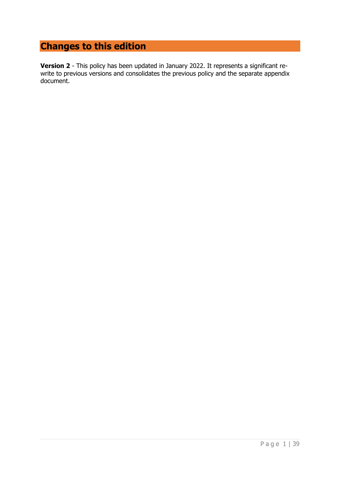# <span id="page-3-0"></span>**Changes to this edition**

**Version 2** - This policy has been updated in January 2022. It represents a significant rewrite to previous versions and consolidates the previous policy and the separate appendix document.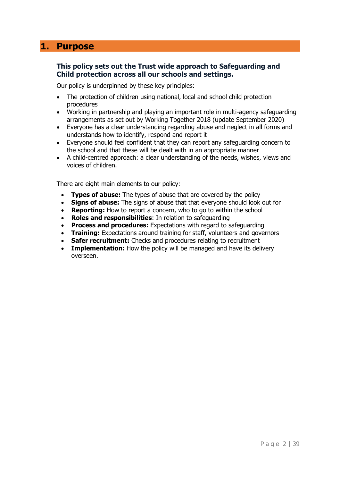## <span id="page-4-0"></span>**1. Purpose**

#### **This policy sets out the Trust wide approach to Safeguarding and Child protection across all our schools and settings.**

Our policy is underpinned by these key principles:

- The protection of children using national, local and school child protection procedures
- Working in partnership and playing an important role in multi-agency safeguarding arrangements as set out by Working Together 2018 (update September 2020)
- Everyone has a clear understanding regarding abuse and neglect in all forms and understands how to identify, respond and report it
- Everyone should feel confident that they can report any safeguarding concern to the school and that these will be dealt with in an appropriate manner
- A child-centred approach: a clear understanding of the needs, wishes, views and voices of children.

There are eight main elements to our policy:

- **Types of abuse:** The types of abuse that are covered by the policy
- **Signs of abuse:** The signs of abuse that that everyone should look out for
- **Reporting:** How to report a concern, who to go to within the school
- **Roles and responsibilities**: In relation to safeguarding
- **Process and procedures:** Expectations with regard to safeguarding
- **Training:** Expectations around training for staff, volunteers and governors
- **Safer recruitment:** Checks and procedures relating to recruitment
- **Implementation:** How the policy will be managed and have its delivery overseen.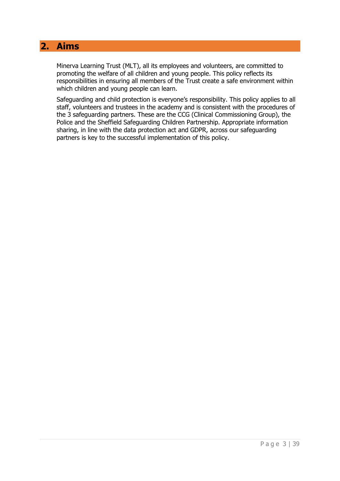## <span id="page-5-0"></span>**2. Aims**

Minerva Learning Trust (MLT), all its employees and volunteers, are committed to promoting the welfare of all children and young people. This policy reflects its responsibilities in ensuring all members of the Trust create a safe environment within which children and young people can learn.

Safeguarding and child protection is everyone's responsibility. This policy applies to all staff, volunteers and trustees in the academy and is consistent with the procedures of the 3 safeguarding partners. These are the CCG (Clinical Commissioning Group), the Police and the Sheffield Safeguarding Children Partnership. Appropriate information sharing, in line with the data protection act and GDPR, across our safeguarding partners is key to the successful implementation of this policy.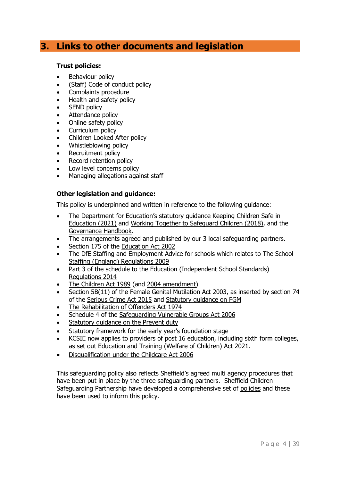## <span id="page-6-0"></span>**3. Links to other documents and legislation**

#### **Trust policies:**

- Behaviour policy
- (Staff) Code of conduct policy
- Complaints procedure
- Health and safety policy
- **SEND policy**
- Attendance policy
- Online safety policy
- Curriculum policy
- Children Looked After policy
- Whistleblowing policy
- Recruitment policy
- Record retention policy
- Low level concerns policy
- Managing allegations against staff

#### **Other legislation and guidance:**

This policy is underpinned and written in reference to the following guidance:

- The Department for Education's statutory guidance Keeping Children Safe in [Education \(2021\)](https://www.gov.uk/government/publications/keeping-children-safe-in-education--2) and [Working Together to Safeguard Children \(2018\),](https://www.gov.uk/government/publications/working-together-to-safeguard-children--2) and the [Governance Handbook.](https://www.gov.uk/government/publications/governance-handbook)
- The arrangements agreed and published by our 3 local safeguarding partners.
- Section 175 of the [Education Act 2002](http://www.legislation.gov.uk/ukpga/2002/32/section/175)
- The DfE [Staffing and Employment Advice for schools](https://assets.publishing.service.gov.uk/government/uploads/system/uploads/attachment_data/file/953345/Staffing_and_employment_advice_for_schools_-_January_2021.pdf) which relates to [The School](http://www.legislation.gov.uk/uksi/2009/2680/contents/made)  [Staffing \(England\) Regulations 2009](http://www.legislation.gov.uk/uksi/2009/2680/contents/made)
- Part 3 of the schedule to the Education (Independent School Standards) [Regulations 2014](http://www.legislation.gov.uk/uksi/2014/3283/schedule/part/3/made)
- [The Children Act 1989](http://www.legislation.gov.uk/ukpga/1989/41) (and [2004 amendment\)](http://www.legislation.gov.uk/ukpga/2004/31/contents)
- Section 5B(11) of the Female Genital Mutilation Act 2003, as inserted by section 74 of the [Serious Crime Act 2015](http://www.legislation.gov.uk/ukpga/2015/9/part/5/crossheading/female-genital-mutilation) and [Statutory guidance on FGM](https://www.gov.uk/government/publications/multi-agency-statutory-guidance-on-female-genital-mutilation)
- [The Rehabilitation of Offenders Act 1974](http://www.legislation.gov.uk/ukpga/1974/53)
- Schedule 4 of the [Safeguarding Vulnerable Groups Act 2006](http://www.legislation.gov.uk/ukpga/2006/47/schedule/4)
- Statutory quidance on the Prevent duty
- [Statutory framework for the early year's foundation stage](https://assets.publishing.service.gov.uk/government/uploads/system/uploads/attachment_data/file/974907/EYFS_framework_-_March_2021.pdf)
- KCSIE now applies to providers of post 16 education, including sixth form colleges, as set out Education and Training (Welfare of Children) Act 2021.
- [Disqualification under the Childcare Act 2006](https://www.gov.uk/government/publications/disqualification-under-the-childcare-act-2006/disqualification-under-the-childcare-act-2006)

This safeguarding policy also reflects Sheffield's agreed multi agency procedures that have been put in place by the three safeguarding partners. Sheffield Children Safeguarding Partnership have developed a comprehensive set of [policies](https://www.safeguardingsheffieldchildren.org/assets/1/full_set_safeguarding_policies___procedures_sheffield_education_settings_sept_21.pdf) and these have been used to inform this policy.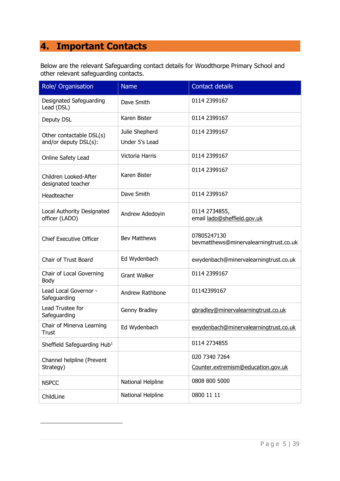# <span id="page-7-0"></span>**4. Important Contacts**

Below are the relevant Safeguarding contact details for Woodthorpe Primary School and other relevant safeguarding contacts.

| Role/ Organisation                                | <b>Name</b>                      | <b>Contact details</b>                                |
|---------------------------------------------------|----------------------------------|-------------------------------------------------------|
| Designated Safeguarding<br>Lead (DSL)             | Dave Smith                       | 0114 2399167                                          |
| Deputy DSL                                        | Karen Bister                     | 0114 2399167                                          |
| Other contactable DSL(s)<br>and/or deputy DSL(s): | Julie Shepherd<br>Under 5's Lead | 0114 2399167                                          |
| Online Safety Lead                                | Victoria Harris                  | 0114 2399167                                          |
| Children Looked-After<br>designated teacher       | Karen Bister                     | 0114 2399167                                          |
| Headteacher                                       | Dave Smith                       | 0114 2399167                                          |
| Local Authority Designated<br>officer (LADO)      | Andrew Adedoyin                  | 0114 2734855,<br>email lado@sheffield.gov.uk          |
| <b>Chief Executive Officer</b>                    | <b>Bev Matthews</b>              | 07805247130<br>bevmatthews@minervalearningtrust.co.uk |
| <b>Chair of Trust Board</b>                       | Ed Wydenbach                     | ewydenbach@minervalearningtrust.co.uk                 |
| Chair of Local Governing<br>Body                  | <b>Grant Walker</b>              | 0114 2399167                                          |
| Lead Local Governor -<br>Safeguarding             | Andrew Rathbone                  | 01142399167                                           |
| Lead Trustee for<br>Safeguarding                  | Genny Bradley                    | gbradley@minervalearningtrust.co.uk                   |
| Chair of Minerva Learning<br>Trust                | Ed Wydenbach                     | ewydenbach@minervalearningtrust.co.uk                 |
| Sheffield Safeguarding Hub <sup>1</sup>           |                                  | 0114 2734855                                          |
| Channel helpline (Prevent<br>Strategy)            |                                  | 020 7340 7264<br>Counter.extremism@education.gov.uk   |
| <b>NSPCC</b>                                      | National Helpline                | 0808 800 5000                                         |
| ChildLine                                         | National Helpline                | 0800 11 11                                            |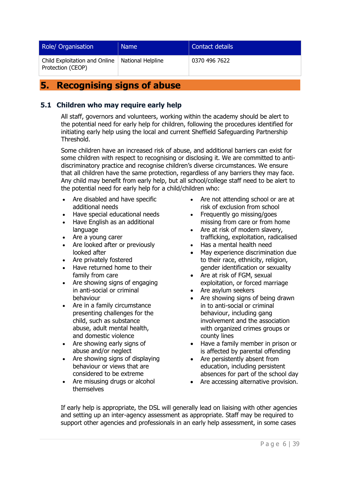| Role/ Organisation                                 | <b>Name</b>       | Contact details |
|----------------------------------------------------|-------------------|-----------------|
| Child Exploitation and Online<br>Protection (CEOP) | National Helpline | 0370 496 7622   |

## <span id="page-8-0"></span>**5. Recognising signs of abuse**

#### <span id="page-8-1"></span>**5.1 Children who may require early help**

All staff, governors and volunteers, working within the academy should be alert to the potential need for early help for children, following the procedures identified for initiating early help using the local and current Sheffield Safeguarding Partnership Threshold.

Some children have an increased risk of abuse, and additional barriers can exist for some children with respect to recognising or disclosing it. We are committed to antidiscriminatory practice and recognise children's diverse circumstances. We ensure that all children have the same protection, regardless of any barriers they may face. Any child may benefit from early help, but all school/college staff need to be alert to the potential need for early help for a child/children who:

- Are disabled and have specific additional needs
- Have special educational needs
- Have English as an additional language
- Are a young carer
- Are looked after or previously looked after
- Are privately fostered
- Have returned home to their family from care
- Are showing signs of engaging in anti-social or criminal behaviour
- Are in a family circumstance presenting challenges for the child, such as substance abuse, adult mental health, and domestic violence
- Are showing early signs of abuse and/or neglect
- Are showing signs of displaying behaviour or views that are considered to be extreme
- Are misusing drugs or alcohol themselves
- Are not attending school or are at risk of exclusion from school
- Frequently go missing/goes missing from care or from home
- Are at risk of modern slavery, trafficking, exploitation, radicalised
- Has a mental health need
- May experience discrimination due to their race, ethnicity, religion, gender identification or sexuality
- Are at risk of FGM, sexual exploitation, or forced marriage
- Are asylum seekers
- Are showing signs of being drawn in to anti-social or criminal behaviour, including gang involvement and the association with organized crimes groups or county lines
- Have a family member in prison or is affected by parental offending
- Are persistently absent from education, including persistent absences for part of the school day
- Are accessing alternative provision.

If early help is appropriate, the DSL will generally lead on liaising with other agencies and setting up an inter-agency assessment as appropriate. Staff may be required to support other agencies and professionals in an early help assessment, in some cases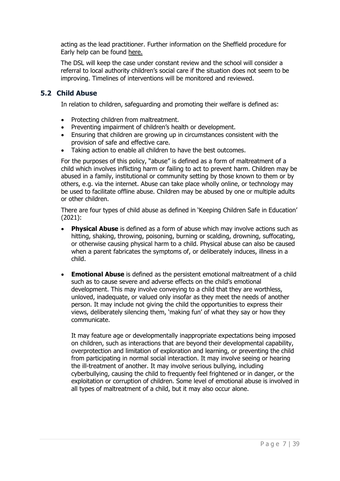acting as the lead practitioner. Further information on the Sheffield procedure for Early help can be found [here.](https://www.safeguardingsheffieldchildren.org/assets/1/early_help_sept_21.pdf)

The DSL will keep the case under constant review and the school will consider a referral to local authority children's social care if the situation does not seem to be improving. Timelines of interventions will be monitored and reviewed.

#### <span id="page-9-0"></span>**5.2 Child Abuse**

In relation to children, safeguarding and promoting their welfare is defined as:

- Protecting children from maltreatment.
- Preventing impairment of children's health or development.
- Ensuring that children are growing up in circumstances consistent with the provision of safe and effective care.
- Taking action to enable all children to have the best outcomes.

For the purposes of this policy, "abuse" is defined as a form of maltreatment of a child which involves inflicting harm or failing to act to prevent harm. Children may be abused in a family, institutional or community setting by those known to them or by others, e.g. via the internet. Abuse can take place wholly online, or technology may be used to facilitate offline abuse. Children may be abused by one or multiple adults or other children.

There are four types of child abuse as defined in 'Keeping Children Safe in Education' (2021):

- **Physical Abuse** is defined as a form of abuse which may involve actions such as hitting, shaking, throwing, poisoning, burning or scalding, drowning, suffocating, or otherwise causing physical harm to a child. Physical abuse can also be caused when a parent fabricates the symptoms of, or deliberately induces, illness in a child.
- **Emotional Abuse** is defined as the persistent emotional maltreatment of a child such as to cause severe and adverse effects on the child's emotional development. This may involve conveying to a child that they are worthless, unloved, inadequate, or valued only insofar as they meet the needs of another person. It may include not giving the child the opportunities to express their views, deliberately silencing them, 'making fun' of what they say or how they communicate.

It may feature age or developmentally inappropriate expectations being imposed on children, such as interactions that are beyond their developmental capability, overprotection and limitation of exploration and learning, or preventing the child from participating in normal social interaction. It may involve seeing or hearing the ill-treatment of another. It may involve serious bullying, including cyberbullying, causing the child to frequently feel frightened or in danger, or the exploitation or corruption of children. Some level of emotional abuse is involved in all types of maltreatment of a child, but it may also occur alone.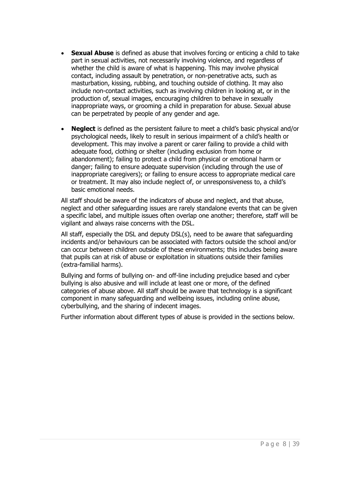- **Sexual Abuse** is defined as abuse that involves forcing or enticing a child to take part in sexual activities, not necessarily involving violence, and regardless of whether the child is aware of what is happening. This may involve physical contact, including assault by penetration, or non-penetrative acts, such as masturbation, kissing, rubbing, and touching outside of clothing. It may also include non-contact activities, such as involving children in looking at, or in the production of, sexual images, encouraging children to behave in sexually inappropriate ways, or grooming a child in preparation for abuse. Sexual abuse can be perpetrated by people of any gender and age.
- **Neglect** is defined as the persistent failure to meet a child's basic physical and/or psychological needs, likely to result in serious impairment of a child's health or development. This may involve a parent or carer failing to provide a child with adequate food, clothing or shelter (including exclusion from home or abandonment); failing to protect a child from physical or emotional harm or danger; failing to ensure adequate supervision (including through the use of inappropriate caregivers); or failing to ensure access to appropriate medical care or treatment. It may also include neglect of, or unresponsiveness to, a child's basic emotional needs.

All staff should be aware of the indicators of abuse and neglect, and that abuse, neglect and other safeguarding issues are rarely standalone events that can be given a specific label, and multiple issues often overlap one another; therefore, staff will be vigilant and always raise concerns with the DSL.

All staff, especially the DSL and deputy DSL(s), need to be aware that safeguarding incidents and/or behaviours can be associated with factors outside the school and/or can occur between children outside of these environments; this includes being aware that pupils can at risk of abuse or exploitation in situations outside their families (extra-familial harms).

Bullying and forms of bullying on- and off-line including prejudice based and cyber bullying is also abusive and will include at least one or more, of the defined categories of abuse above. All staff should be aware that technology is a significant component in many safeguarding and wellbeing issues, including online abuse, cyberbullying, and the sharing of indecent images.

Further information about different types of abuse is provided in the sections below.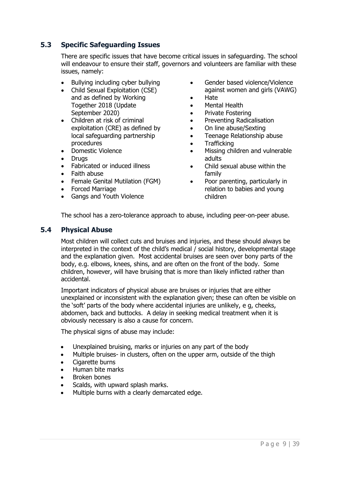#### <span id="page-11-0"></span>**5.3 Specific Safeguarding Issues**

There are specific issues that have become critical issues in safeguarding. The school will endeavour to ensure their staff, governors and volunteers are familiar with these issues, namely:

- Bullying including cyber bullying
- Child Sexual Exploitation (CSE) and as defined by Working Together 2018 (Update September 2020)
- Children at risk of criminal exploitation (CRE) as defined by local safeguarding partnership procedures
- Domestic Violence
- Drugs
- Fabricated or induced illness
- Faith abuse
- Female Genital Mutilation (FGM)
- Forced Marriage
- Gangs and Youth Violence
- Gender based violence/Violence against women and girls (VAWG)
- Hate
- Mental Health
- Private Fostering
- Preventing Radicalisation
- On line abuse/Sexting
- Teenage Relationship abuse
- Trafficking
- Missing children and vulnerable adults
- Child sexual abuse within the family
- Poor parenting, particularly in relation to babies and young children

The school has a zero-tolerance approach to abuse, including peer-on-peer abuse.

#### <span id="page-11-1"></span>**5.4 Physical Abuse**

Most children will collect cuts and bruises and injuries, and these should always be interpreted in the context of the child's medical / social history, developmental stage and the explanation given. Most accidental bruises are seen over bony parts of the body, e.g. elbows, knees, shins, and are often on the front of the body. Some children, however, will have bruising that is more than likely inflicted rather than accidental.

Important indicators of physical abuse are bruises or injuries that are either unexplained or inconsistent with the explanation given; these can often be visible on the 'soft' parts of the body where accidental injuries are unlikely, e g, cheeks, abdomen, back and buttocks. A delay in seeking medical treatment when it is obviously necessary is also a cause for concern.

The physical signs of abuse may include:

- Unexplained bruising, marks or injuries on any part of the body
- Multiple bruises- in clusters, often on the upper arm, outside of the thigh
- Cigarette burns
- Human bite marks
- Broken bones
- Scalds, with upward splash marks.
- Multiple burns with a clearly demarcated edge.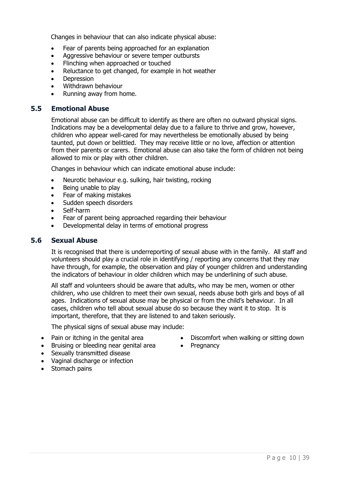Changes in behaviour that can also indicate physical abuse:

- Fear of parents being approached for an explanation
- Aggressive behaviour or severe temper outbursts
- Flinching when approached or touched
- Reluctance to get changed, for example in hot weather
- **Depression**
- Withdrawn behaviour
- Running away from home.

#### <span id="page-12-0"></span>**5.5 Emotional Abuse**

Emotional abuse can be difficult to identify as there are often no outward physical signs. Indications may be a developmental delay due to a failure to thrive and grow, however, children who appear well-cared for may nevertheless be emotionally abused by being taunted, put down or belittled. They may receive little or no love, affection or attention from their parents or carers. Emotional abuse can also take the form of children not being allowed to mix or play with other children.

Changes in behaviour which can indicate emotional abuse include:

- Neurotic behaviour e.g. sulking, hair twisting, rocking
- Being unable to play
- Fear of making mistakes
- Sudden speech disorders
- Self-harm
- Fear of parent being approached regarding their behaviour
- Developmental delay in terms of emotional progress

#### <span id="page-12-1"></span>**5.6 Sexual Abuse**

It is recognised that there is underreporting of sexual abuse with in the family. All staff and volunteers should play a crucial role in identifying / reporting any concerns that they may have through, for example, the observation and play of younger children and understanding the indicators of behaviour in older children which may be underlining of such abuse.

All staff and volunteers should be aware that adults, who may be men, women or other children, who use children to meet their own sexual, needs abuse both girls and boys of all ages. Indications of sexual abuse may be physical or from the child's behaviour. In all cases, children who tell about sexual abuse do so because they want it to stop. It is important, therefore, that they are listened to and taken seriously.

The physical signs of sexual abuse may include:

- Pain or itching in the genital area
- Bruising or bleeding near genital area
- Sexually transmitted disease
- Vaginal discharge or infection
- Stomach pains
- Discomfort when walking or sitting down
- Pregnancy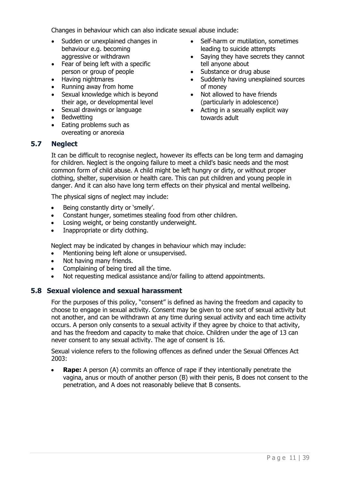Changes in behaviour which can also indicate sexual abuse include:

- Sudden or unexplained changes in behaviour e.g. becoming aggressive or withdrawn
- Fear of being left with a specific person or group of people
- Having nightmares
- Running away from home
- Sexual knowledge which is beyond their age, or developmental level
- Sexual drawings or language
- Bedwetting
- Eating problems such as overeating or anorexia
- Self-harm or mutilation, sometimes leading to suicide attempts
- Saying they have secrets they cannot tell anyone about
- Substance or drug abuse
- Suddenly having unexplained sources of money
- Not allowed to have friends (particularly in adolescence)
- Acting in a sexually explicit way towards adult

#### <span id="page-13-0"></span>**5.7 Neglect**

It can be difficult to recognise neglect, however its effects can be long term and damaging for children. Neglect is the ongoing failure to meet a child's basic needs and the most common form of child abuse. A child might be left hungry or dirty, or without proper clothing, shelter, supervision or health care. This can put children and young people in danger. And it can also have long term effects on their physical and mental wellbeing.

The physical signs of neglect may include:

- Being constantly dirty or 'smelly'.
- Constant hunger, sometimes stealing food from other children.
- Losing weight, or being constantly underweight.
- Inappropriate or dirty clothing.

Neglect may be indicated by changes in behaviour which may include:

- Mentioning being left alone or unsupervised.
- Not having many friends.
- Complaining of being tired all the time.
- Not requesting medical assistance and/or failing to attend appointments.

#### <span id="page-13-1"></span>**5.8 Sexual violence and sexual harassment**

For the purposes of this policy, "consent" is defined as having the freedom and capacity to choose to engage in sexual activity. Consent may be given to one sort of sexual activity but not another, and can be withdrawn at any time during sexual activity and each time activity occurs. A person only consents to a sexual activity if they agree by choice to that activity, and has the freedom and capacity to make that choice. Children under the age of 13 can never consent to any sexual activity. The age of consent is 16.

Sexual violence refers to the following offences as defined under the Sexual Offences Act 2003:

• **Rape:** A person (A) commits an offence of rape if they intentionally penetrate the vagina, anus or mouth of another person (B) with their penis, B does not consent to the penetration, and A does not reasonably believe that B consents.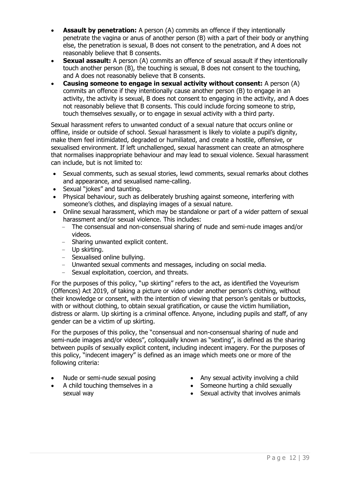- **Assault by penetration:** A person (A) commits an offence if they intentionally penetrate the vagina or anus of another person (B) with a part of their body or anything else, the penetration is sexual, B does not consent to the penetration, and A does not reasonably believe that B consents.
- **Sexual assault:** A person (A) commits an offence of sexual assault if they intentionally touch another person (B), the touching is sexual, B does not consent to the touching, and A does not reasonably believe that B consents.
- **Causing someone to engage in sexual activity without consent:** A person (A) commits an offence if they intentionally cause another person (B) to engage in an activity, the activity is sexual, B does not consent to engaging in the activity, and A does not reasonably believe that B consents. This could include forcing someone to strip, touch themselves sexually, or to engage in sexual activity with a third party.

Sexual harassment refers to unwanted conduct of a sexual nature that occurs online or offline, inside or outside of school. Sexual harassment is likely to violate a pupil's dignity, make them feel intimidated, degraded or humiliated, and create a hostile, offensive, or sexualised environment. If left unchallenged, sexual harassment can create an atmosphere that normalises inappropriate behaviour and may lead to sexual violence. Sexual harassment can include, but is not limited to:

- Sexual comments, such as sexual stories, lewd comments, sexual remarks about clothes and appearance, and sexualised name-calling.
- Sexual "jokes" and taunting.
- Physical behaviour, such as deliberately brushing against someone, interfering with someone's clothes, and displaying images of a sexual nature.
- Online sexual harassment, which may be standalone or part of a wider pattern of sexual harassment and/or sexual violence. This includes:
	- − The consensual and non-consensual sharing of nude and semi-nude images and/or videos.
	- − Sharing unwanted explicit content.
	- − Up skirting.
	- − Sexualised online bullying.
	- − Unwanted sexual comments and messages, including on social media.
	- − Sexual exploitation, coercion, and threats.

For the purposes of this policy, "up skirting" refers to the act, as identified the Voyeurism (Offences) Act 2019, of taking a picture or video under another person's clothing, without their knowledge or consent, with the intention of viewing that person's genitals or buttocks, with or without clothing, to obtain sexual gratification, or cause the victim humiliation, distress or alarm. Up skirting is a criminal offence. Anyone, including pupils and staff, of any gender can be a victim of up skirting.

For the purposes of this policy, the "consensual and non-consensual sharing of nude and semi-nude images and/or videos", colloquially known as "sexting", is defined as the sharing between pupils of sexually explicit content, including indecent imagery. For the purposes of this policy, "indecent imagery" is defined as an image which meets one or more of the following criteria:

- Nude or semi-nude sexual posing
- A child touching themselves in a sexual way
- Any sexual activity involving a child
- Someone hurting a child sexually
- Sexual activity that involves animals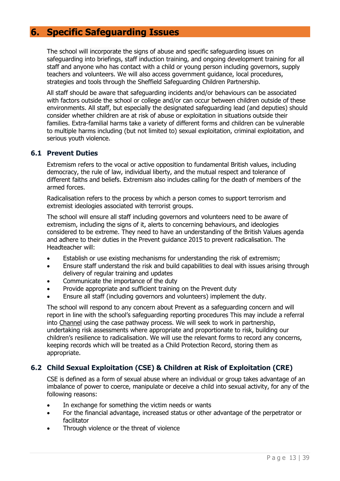## <span id="page-15-0"></span>**6. Specific Safeguarding Issues**

The school will incorporate the signs of abuse and specific safeguarding issues on safeguarding into briefings, staff induction training, and ongoing development training for all staff and anyone who has contact with a child or young person including governors, supply teachers and volunteers. We will also access government guidance, local procedures, strategies and tools through the Sheffield Safeguarding Children Partnership.

All staff should be aware that safeguarding incidents and/or behaviours can be associated with factors outside the school or college and/or can occur between children outside of these environments. All staff, but especially the designated safeguarding lead (and deputies) should consider whether children are at risk of abuse or exploitation in situations outside their families. Extra-familial harms take a variety of different forms and children can be vulnerable to multiple harms including (but not limited to) sexual exploitation, criminal exploitation, and serious youth violence.

#### <span id="page-15-1"></span>**6.1 Prevent Duties**

Extremism refers to the vocal or active opposition to fundamental British values, including democracy, the rule of law, individual liberty, and the mutual respect and tolerance of different faiths and beliefs. Extremism also includes calling for the death of members of the armed forces.

Radicalisation refers to the process by which a person comes to support terrorism and extremist ideologies associated with terrorist groups.

The school will ensure all staff including governors and volunteers need to be aware of extremism, including the signs of it, alerts to concerning behaviours, and ideologies considered to be extreme. They need to have an understanding of the British Values agenda and adhere to their duties in the Prevent guidance 2015 to prevent radicalisation. The Headteacher will:

- Establish or use existing mechanisms for understanding the risk of extremism;
- Ensure staff understand the risk and build capabilities to deal with issues arising through delivery of regular training and updates
- Communicate the importance of the duty
- Provide appropriate and sufficient training on the Prevent duty
- Ensure all staff (including governors and volunteers) implement the duty.

The school will respond to any concern about Prevent as a safeguarding concern and will report in line with the school's safeguarding reporting procedures This may include a referral into [Channel](https://www.gov.uk/government/publications/channel-guidance) using the case pathway process. We will seek to work in partnership, undertaking risk assessments where appropriate and proportionate to risk, building our children's resilience to radicalisation. We will use the relevant forms to record any concerns, keeping records which will be treated as a Child Protection Record, storing them as appropriate.

#### <span id="page-15-2"></span>**6.2 Child Sexual Exploitation (CSE) & Children at Risk of Exploitation (CRE)**

CSE is defined as a form of sexual abuse where an individual or group takes advantage of an imbalance of power to coerce, manipulate or deceive a child into sexual activity, for any of the following reasons:

- In exchange for something the victim needs or wants
- For the financial advantage, increased status or other advantage of the perpetrator or facilitator
- Through violence or the threat of violence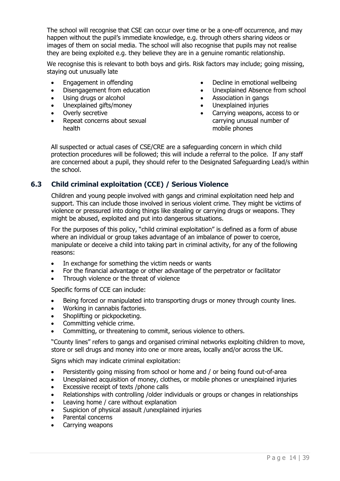The school will recognise that CSE can occur over time or be a one-off occurrence, and may happen without the pupil's immediate knowledge, e.g. through others sharing videos or images of them on social media. The school will also recognise that pupils may not realise they are being exploited e.g. they believe they are in a genuine romantic relationship.

We recognise this is relevant to both boys and girls. Risk factors may include; going missing, staying out unusually late

- Engagement in offending
- Disengagement from education
- Using drugs or alcohol
- Unexplained gifts/money
- Overly secretive
- Repeat concerns about sexual health
- Decline in emotional wellbeing
- Unexplained Absence from school
- Association in gangs
- Unexplained injuries
- Carrying weapons, access to or carrying unusual number of mobile phones

All suspected or actual cases of CSE/CRE are a safeguarding concern in which child protection procedures will be followed; this will include a referral to the police. If any staff are concerned about a pupil, they should refer to the Designated Safeguarding Lead/s within the school.

#### <span id="page-16-0"></span>**6.3 Child criminal exploitation (CCE) / Serious Violence**

Children and young people involved with gangs and criminal exploitation need help and support. This can include those involved in serious violent crime. They might be victims of violence or pressured into doing things like stealing or carrying drugs or weapons. They might be abused, exploited and put into dangerous situations.

For the purposes of this policy, "child criminal exploitation" is defined as a form of abuse where an individual or group takes advantage of an imbalance of power to coerce, manipulate or deceive a child into taking part in criminal activity, for any of the following reasons:

- In exchange for something the victim needs or wants
- For the financial advantage or other advantage of the perpetrator or facilitator
- Through violence or the threat of violence

Specific forms of CCE can include:

- Being forced or manipulated into transporting drugs or money through county lines.
- Working in cannabis factories.
- Shoplifting or pickpocketing.
- Committing vehicle crime.
- Committing, or threatening to commit, serious violence to others.

"County lines" refers to gangs and organised criminal networks exploiting children to move, store or sell drugs and money into one or more areas, locally and/or across the UK.

Signs which may indicate criminal exploitation:

- Persistently going missing from school or home and / or being found out-of-area
- Unexplained acquisition of money, clothes, or mobile phones or unexplained injuries
- Excessive receipt of texts /phone calls
- Relationships with controlling /older individuals or groups or changes in relationships
- Leaving home / care without explanation
- Suspicion of physical assault /unexplained injuries
- Parental concerns
- Carrying weapons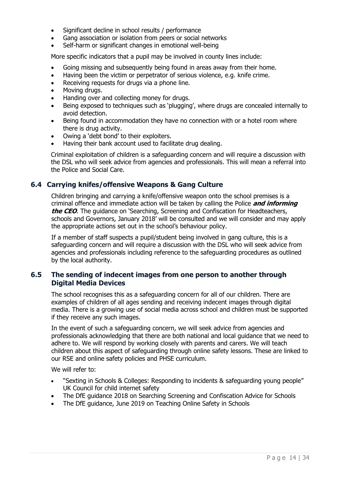- Significant decline in school results / performance
- Gang association or isolation from peers or social networks
- Self-harm or significant changes in emotional well-being

More specific indicators that a pupil may be involved in county lines include:

- Going missing and subsequently being found in areas away from their home.
- Having been the victim or perpetrator of serious violence, e.g. knife crime.
- Receiving requests for drugs via a phone line.
- Moving drugs.
- Handing over and collecting money for drugs.
- Being exposed to techniques such as 'plugging', where drugs are concealed internally to avoid detection.
- Being found in accommodation they have no connection with or a hotel room where there is drug activity.
- Owing a 'debt bond' to their exploiters.
- Having their bank account used to facilitate drug dealing.

Criminal exploitation of children is a safeguarding concern and will require a discussion with the DSL who will seek advice from agencies and professionals. This will mean a referral into the Police and Social Care.

#### <span id="page-17-0"></span>**6.4 Carrying knifes/offensive Weapons & Gang Culture**

Children bringing and carrying a knife/offensive weapon onto the school premises is a criminal offence and immediate action will be taken by calling the Police **and informing the CEO**. The guidance on 'Searching, Screening and Confiscation for Headteachers, schools and Governors, January 2018' will be consulted and we will consider and may apply the appropriate actions set out in the school's behaviour policy.

If a member of staff suspects a pupil/student being involved in gang culture, this is a safeguarding concern and will require a discussion with the DSL who will seek advice from agencies and professionals including reference to the safeguarding procedures as outlined by the local authority.

#### <span id="page-17-1"></span>**6.5 The sending of indecent images from one person to another through Digital Media Devices**

The school recognises this as a safeguarding concern for all of our children. There are examples of children of all ages sending and receiving indecent images through digital media. There is a growing use of social media across school and children must be supported if they receive any such images.

In the event of such a safeguarding concern, we will seek advice from agencies and professionals acknowledging that there are both national and local guidance that we need to adhere to. We will respond by working closely with parents and carers. We will teach children about this aspect of safeguarding through online safety lessons. These are linked to our RSE and online safety policies and PHSE curriculum.

We will refer to:

- "Sexting in Schools & Colleges: Responding to incidents & safeguarding young people" UK Council for child internet safety
- [The DfE guidance 2018 on Searching Screening and Confiscation Advice for Schools](about:blank)
- [The DfE guidance, June 2019 on Teaching Online Safety in Schools](about:blank)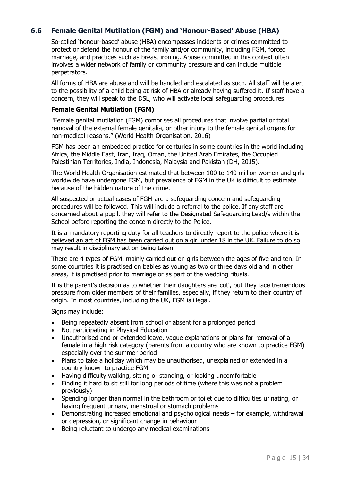#### <span id="page-18-0"></span>**6.6 Female Genital Mutilation (FGM) and 'Honour-Based' Abuse (HBA)**

So-called 'honour-based' abuse (HBA) encompasses incidents or crimes committed to protect or defend the honour of the family and/or community, including FGM, forced marriage, and practices such as breast ironing. Abuse committed in this context often involves a wider network of family or community pressure and can include multiple perpetrators.

All forms of HBA are abuse and will be handled and escalated as such. All staff will be alert to the possibility of a child being at risk of HBA or already having suffered it. If staff have a concern, they will speak to the DSL, who will activate local safeguarding procedures.

#### **Female Genital Mutilation (FGM)**

"Female genital mutilation (FGM) comprises all procedures that involve partial or total removal of the external female genitalia, or other injury to the female genital organs for non-medical reasons." (World Health Organisation, 2016)

FGM has been an embedded practice for centuries in some countries in the world including Africa, the Middle East, Iran, Iraq, Oman, the United Arab Emirates, the Occupied Palestinian Territories, India, Indonesia, Malaysia and Pakistan (DH, 2015).

The World Health Organisation estimated that between 100 to 140 million women and girls worldwide have undergone FGM, but prevalence of FGM in the UK is difficult to estimate because of the hidden nature of the crime.

All suspected or actual cases of FGM are a safeguarding concern and safeguarding procedures will be followed. This will include a referral to the police. If any staff are concerned about a pupil, they will refer to the Designated Safeguarding Lead/s within the School before reporting the concern directly to the Police.

It is a mandatory reporting duty for all teachers to directly report to the police where it is believed an act of FGM has been carried out on a girl under 18 in the UK. Failure to do so may result in disciplinary action being taken.

There are 4 types of FGM, mainly carried out on girls between the ages of five and ten. In some countries it is practised on babies as young as two or three days old and in other areas, it is practised prior to marriage or as part of the wedding rituals.

It is the parent's decision as to whether their daughters are 'cut', but they face tremendous pressure from older members of their families, especially, if they return to their country of origin. In most countries, including the UK, FGM is illegal.

Signs may include:

- Being repeatedly absent from school or absent for a prolonged period
- Not participating in Physical Education
- Unauthorised and or extended leave, vague explanations or plans for removal of a female in a high risk category (parents from a country who are known to practice FGM) especially over the summer period
- Plans to take a holiday which may be unauthorised, unexplained or extended in a country known to practice FGM
- Having difficulty walking, sitting or standing, or looking uncomfortable
- Finding it hard to sit still for long periods of time (where this was not a problem previously)
- Spending longer than normal in the bathroom or toilet due to difficulties urinating, or having frequent urinary, menstrual or stomach problems
- Demonstrating increased emotional and psychological needs for example, withdrawal or depression, or significant change in behaviour
- Being reluctant to undergo any medical examinations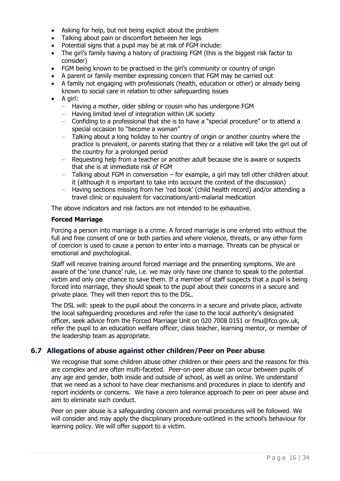- Asking for help, but not being explicit about the problem
- Talking about pain or discomfort between her legs
- Potential signs that a pupil may be at risk of FGM include:
- The girl's family having a history of practising FGM (this is the biggest risk factor to consider)
- FGM being known to be practised in the girl's community or country of origin
- A parent or family member expressing concern that FGM may be carried out
- A family not engaging with professionals (health, education or other) or already being known to social care in relation to other safeguarding issues
- A girl:
	- − Having a mother, older sibling or cousin who has undergone FGM
	- − Having limited level of integration within UK society
	- − Confiding to a professional that she is to have a "special procedure" or to attend a special occasion to "become a woman"
	- − Talking about a long holiday to her country of origin or another country where the practice is prevalent, or parents stating that they or a relative will take the girl out of the country for a prolonged period
	- − Requesting help from a teacher or another adult because she is aware or suspects that she is at immediate risk of FGM
	- − Talking about FGM in conversation for example, a girl may tell other children about it (although it is important to take into account the context of the discussion)
	- − Having sections missing from her 'red book' (child health record) and/or attending a travel clinic or equivalent for vaccinations/anti-malarial medication

The above indicators and risk factors are not intended to be exhaustive.

#### **Forced Marriage**

Forcing a person into marriage is a crime. A forced marriage is one entered into without the full and free consent of one or both parties and where violence, threats, or any other form of coercion is used to cause a person to enter into a marriage. Threats can be physical or emotional and psychological.

Staff will receive training around forced marriage and the presenting symptoms. We are aware of the 'one chance' rule, i.e. we may only have one chance to speak to the potential victim and only one chance to save them. If a member of staff suspects that a pupil is being forced into marriage, they should speak to the pupil about their concerns in a secure and private place. They will then report this to the DSL.

The DSL will: speak to the pupil about the concerns in a secure and private place, activate the local safeguarding procedures and refer the case to the local authority's designated officer, seek advice from the Forced Marriage Unit on 020 7008 0151 or fmu@fco.gov.uk, refer the pupil to an education welfare officer, class teacher, learning mentor, or member of the leadership team as appropriate.

#### <span id="page-19-0"></span>**6.7 Allegations of abuse against other children/Peer on Peer abuse**

We recognise that some children abuse other children or their peers and the reasons for this are complex and are often multi-faceted. Peer-on-peer abuse can occur between pupils of any age and gender, both inside and outside of school, as well as online. We understand that we need as a school to have clear mechanisms and procedures in place to identify and report incidents or concerns. We have a zero tolerance approach to peer on peer abuse and aim to eliminate such conduct.

Peer on peer abuse is a safeguarding concern and normal procedures will be followed. We will consider and may apply the disciplinary procedure outlined in the school's behaviour for learning policy. We will offer support to a victim.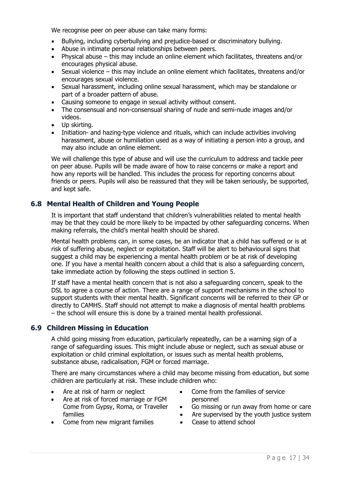We recognise peer on peer abuse can take many forms:

- Bullying, including cyberbullying and prejudice-based or discriminatory bullying.
- Abuse in intimate personal relationships between peers.
- Physical abuse this may include an online element which facilitates, threatens and/or encourages physical abuse.
- Sexual violence this may include an online element which facilitates, threatens and/or encourages sexual violence.
- Sexual harassment, including online sexual harassment, which may be standalone or part of a broader pattern of abuse.
- Causing someone to engage in sexual activity without consent.
- The consensual and non-consensual sharing of nude and semi-nude images and/or videos.
- Up skirting.
- Initiation- and hazing-type violence and rituals, which can include activities involving harassment, abuse or humiliation used as a way of initiating a person into a group, and may also include an online element.

We will challenge this type of abuse and will use the curriculum to address and tackle peer on peer abuse. Pupils will be made aware of how to raise concerns or make a report and how any reports will be handled. This includes the process for reporting concerns about friends or peers. Pupils will also be reassured that they will be taken seriously, be supported, and kept safe.

#### <span id="page-20-0"></span>**6.8 Mental Health of Children and Young People**

It is important that staff understand that children's vulnerabilities related to mental health may be that they could be more likely to be impacted by other safeguarding concerns. When making referrals, the child's mental health should be shared.

Mental health problems can, in some cases, be an indicator that a child has suffered or is at risk of suffering abuse, neglect or exploitation. Staff will be alert to behavioural signs that suggest a child may be experiencing a mental health problem or be at risk of developing one. If you have a mental health concern about a child that is also a safeguarding concern, take immediate action by following the steps outlined in section 5.

If staff have a mental health concern that is not also a safeguarding concern, speak to the DSL to agree a course of action. There are a range of support mechanisms in the school to support students with their mental health. Significant concerns will be referred to their GP or directly to CAMHS. Staff should not attempt to make a diagnosis of mental health problems – the school will ensure this is done by a trained mental health professional.

#### <span id="page-20-1"></span>**6.9 Children Missing in Education**

A child going missing from education, particularly repeatedly, can be a warning sign of a range of safeguarding issues. This might include abuse or neglect, such as sexual abuse or exploitation or child criminal exploitation, or issues such as mental health problems, substance abuse, radicalisation, FGM or forced marriage.

There are many circumstances where a child may become missing from education, but some children are particularly at risk. These include children who:

- Are at risk of harm or neglect
- Are at risk of forced marriage or FGM Come from Gypsy, Roma, or Traveller families
- Come from new migrant families
- Come from the families of service personnel
- Go missing or run away from home or care
- Are supervised by the youth justice system
- Cease to attend school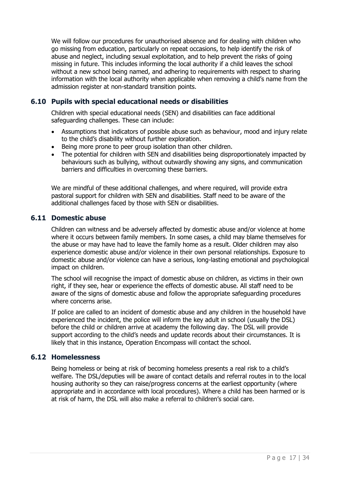We will follow our procedures for unauthorised absence and for dealing with children who go missing from education, particularly on repeat occasions, to help identify the risk of abuse and neglect, including sexual exploitation, and to help prevent the risks of going missing in future. This includes informing the local authority if a child leaves the school without a new school being named, and adhering to requirements with respect to sharing information with the local authority when applicable when removing a child's name from the admission register at non-standard transition points.

#### <span id="page-21-0"></span>**6.10 Pupils with special educational needs or disabilities**

Children with special educational needs (SEN) and disabilities can face additional safeguarding challenges. These can include:

- Assumptions that indicators of possible abuse such as behaviour, mood and injury relate to the child's disability without further exploration.
- Being more prone to peer group isolation than other children.
- The potential for children with SEN and disabilities being disproportionately impacted by behaviours such as bullying, without outwardly showing any signs, and communication barriers and difficulties in overcoming these barriers.

We are mindful of these additional challenges, and where required, will provide extra pastoral support for children with SEN and disabilities. Staff need to be aware of the additional challenges faced by those with SEN or disabilities.

#### <span id="page-21-1"></span>**6.11 Domestic abuse**

Children can witness and be adversely affected by domestic abuse and/or violence at home where it occurs between family members. In some cases, a child may blame themselves for the abuse or may have had to leave the family home as a result. Older children may also experience domestic abuse and/or violence in their own personal relationships. Exposure to domestic abuse and/or violence can have a serious, long-lasting emotional and psychological impact on children.

The school will recognise the impact of domestic abuse on children, as victims in their own right, if they see, hear or experience the effects of domestic abuse. All staff need to be aware of the signs of domestic abuse and follow the appropriate safeguarding procedures where concerns arise.

If police are called to an incident of domestic abuse and any children in the household have experienced the incident, the police will inform the key adult in school (usually the DSL) before the child or children arrive at academy the following day. The DSL will provide support according to the child's needs and update records about their circumstances. It is likely that in this instance, Operation Encompass will contact the school.

#### <span id="page-21-2"></span>**6.12 Homelessness**

Being homeless or being at risk of becoming homeless presents a real risk to a child's welfare. The DSL/deputies will be aware of contact details and referral routes in to the local housing authority so they can raise/progress concerns at the earliest opportunity (where appropriate and in accordance with local procedures). Where a child has been harmed or is at risk of harm, the DSL will also make a referral to children's social care.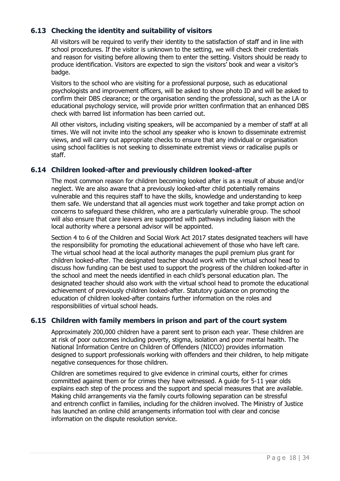#### <span id="page-22-0"></span>**6.13 Checking the identity and suitability of visitors**

All visitors will be required to verify their identity to the satisfaction of staff and in line with school procedures. If the visitor is unknown to the setting, we will check their credentials and reason for visiting before allowing them to enter the setting. Visitors should be ready to produce identification. Visitors are expected to sign the visitors' book and wear a visitor's badge.

Visitors to the school who are visiting for a professional purpose, such as educational psychologists and improvement officers, will be asked to show photo ID and will be asked to confirm their DBS clearance; or the organisation sending the professional, such as the LA or educational psychology service, will provide prior written confirmation that an enhanced DBS check with barred list information has been carried out.

All other visitors, including visiting speakers, will be accompanied by a member of staff at all times. We will not invite into the school any speaker who is known to disseminate extremist views, and will carry out appropriate checks to ensure that any individual or organisation using school facilities is not seeking to disseminate extremist views or radicalise pupils or staff.

#### <span id="page-22-1"></span>**6.14 Children looked-after and previously children looked-after**

The most common reason for children becoming looked after is as a result of abuse and/or neglect. We are also aware that a previously looked-after child potentially remains vulnerable and this requires staff to have the skills, knowledge and understanding to keep them safe. We understand that all agencies must work together and take prompt action on concerns to safeguard these children, who are a particularly vulnerable group. The school will also ensure that care leavers are supported with pathways including liaison with the local authority where a personal advisor will be appointed.

Section 4 to 6 of the Children and Social Work Act 2017 states designated teachers will have the responsibility for promoting the educational achievement of those who have left care. The virtual school head at the local authority manages the pupil premium plus grant for children looked-after. The designated teacher should work with the virtual school head to discuss how funding can be best used to support the progress of the children looked-after in the school and meet the needs identified in each child's personal education plan. The designated teacher should also work with the virtual school head to promote the educational achievement of previously children looked-after. Statutory guidance on promoting the education of children looked-after contains further information on the roles and responsibilities of virtual school heads.

#### <span id="page-22-2"></span>**6.15 Children with family members in prison and part of the court system**

Approximately 200,000 children have a parent sent to prison each year. These children are at risk of poor outcomes including poverty, stigma, isolation and poor mental health. The National Information Centre on Children of Offenders (NICCO) provides information designed to support professionals working with offenders and their children, to help mitigate negative consequences for those children.

Children are sometimes required to give evidence in criminal courts, either for crimes committed against them or for crimes they have witnessed. A guide for 5-11 year olds explains each step of the process and the support and special measures that are available. Making child arrangements via the family courts following separation can be stressful and entrench conflict in families, including for the children involved. The Ministry of Justice has launched an online child arrangements information tool with clear and concise information on the dispute resolution service.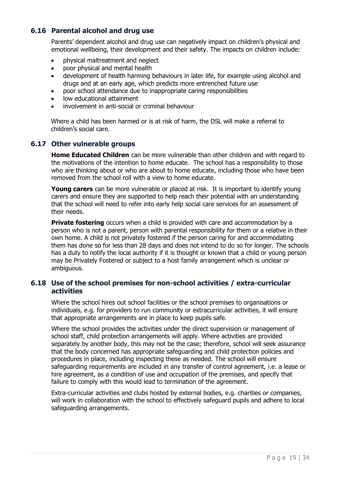#### <span id="page-23-0"></span>**6.16 Parental alcohol and drug use**

Parents' dependent alcohol and drug use can negatively impact on children's physical and emotional wellbeing, their development and their safety. The impacts on children include:

- physical maltreatment and neglect
- poor physical and mental health
- development of health harming behaviours in later life, for example using alcohol and drugs and at an early age, which predicts more entrenched future use
- poor school attendance due to inappropriate caring responsibilities
- low educational attainment
- involvement in anti-social or criminal behaviour

Where a child has been harmed or is at risk of harm, the DSL will make a referral to children's social care.

#### <span id="page-23-1"></span>**6.17 Other vulnerable groups**

**Home Educated Children** can be more vulnerable than other children and with regard to the motivations of the intention to home educate. The school has a responsibility to those who are thinking about or who are about to home educate, including those who have been removed from the school roll with a view to home educate.

**Young carers** can be more vulnerable or placed at risk. It is important to identify young carers and ensure they are supported to help reach their potential with an understanding that the school will need to refer into early help social care services for an assessment of their needs.

**Private fostering** occurs when a child is provided with care and accommodation by a person who is not a parent, person with parental responsibility for them or a relative in their own home. A child is not privately fostered if the person caring for and accommodating them has done so for less than 28 days and does not intend to do so for longer. The schools has a duty to notify the local authority if it is thought or known that a child or young person may be Privately Fostered or subject to a host family arrangement which is unclear or ambiguous.

#### <span id="page-23-2"></span>**6.18 Use of the school premises for non-school activities / extra-curricular activities**

Where the school hires out school facilities or the school premises to organisations or individuals, e.g. for providers to run community or extracurricular activities, it will ensure that appropriate arrangements are in place to keep pupils safe.

Where the school provides the activities under the direct supervision or management of school staff, child protection arrangements will apply. Where activities are provided separately by another body, this may not be the case; therefore, school will seek assurance that the body concerned has appropriate safeguarding and child protection policies and procedures in place, including inspecting these as needed. The school will ensure safeguarding requirements are included in any transfer of control agreement, i.e. a lease or hire agreement, as a condition of use and occupation of the premises, and specify that failure to comply with this would lead to termination of the agreement.

Extra-curricular activities and clubs hosted by external bodies, e.g. charities or companies, will work in collaboration with the school to effectively safeguard pupils and adhere to local safeguarding arrangements.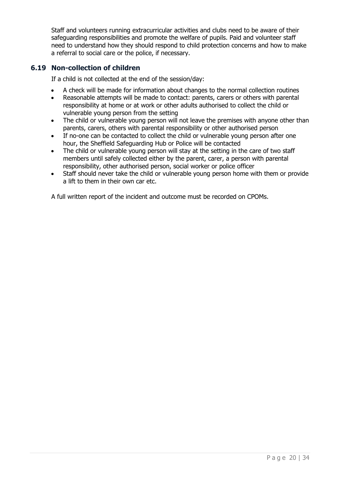Staff and volunteers running extracurricular activities and clubs need to be aware of their safeguarding responsibilities and promote the welfare of pupils. Paid and volunteer staff need to understand how they should respond to child protection concerns and how to make a referral to social care or the police, if necessary.

#### <span id="page-24-0"></span>**6.19 Non-collection of children**

If a child is not collected at the end of the session/day:

- A check will be made for information about changes to the normal collection routines
- Reasonable attempts will be made to contact: parents, carers or others with parental responsibility at home or at work or other adults authorised to collect the child or vulnerable young person from the setting
- The child or vulnerable young person will not leave the premises with anyone other than parents, carers, others with parental responsibility or other authorised person
- If no-one can be contacted to collect the child or vulnerable young person after one hour, the Sheffield Safeguarding Hub or Police will be contacted
- The child or vulnerable young person will stay at the setting in the care of two staff members until safely collected either by the parent, carer, a person with parental responsibility, other authorised person, social worker or police officer
- Staff should never take the child or vulnerable young person home with them or provide a lift to them in their own car etc.

A full written report of the incident and outcome must be recorded on CPOMs.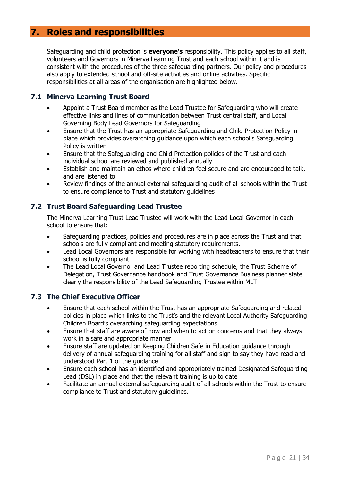## <span id="page-25-0"></span>**7. Roles and responsibilities**

Safeguarding and child protection is **everyone's** responsibility. This policy applies to all staff, volunteers and Governors in Minerva Learning Trust and each school within it and is consistent with the procedures of the three safeguarding partners. Our policy and procedures also apply to extended school and off-site activities and online activities. Specific responsibilities at all areas of the organisation are highlighted below.

#### <span id="page-25-1"></span>**7.1 Minerva Learning Trust Board**

- Appoint a Trust Board member as the Lead Trustee for Safeguarding who will create effective links and lines of communication between Trust central staff, and Local Governing Body Lead Governors for Safeguarding
- Ensure that the Trust has an appropriate Safeguarding and Child Protection Policy in place which provides overarching guidance upon which each school's Safeguarding Policy is written
- Ensure that the Safeguarding and Child Protection policies of the Trust and each individual school are reviewed and published annually
- Establish and maintain an ethos where children feel secure and are encouraged to talk, and are listened to
- Review findings of the annual external safeguarding audit of all schools within the Trust to ensure compliance to Trust and statutory guidelines

#### <span id="page-25-2"></span>**7.2 Trust Board Safeguarding Lead Trustee**

The Minerva Learning Trust Lead Trustee will work with the Lead Local Governor in each school to ensure that:

- Safeguarding practices, policies and procedures are in place across the Trust and that schools are fully compliant and meeting statutory requirements.
- Lead Local Governors are responsible for working with headteachers to ensure that their school is fully compliant
- The Lead Local Governor and Lead Trustee reporting schedule, the Trust Scheme of Delegation, Trust Governance handbook and Trust Governance Business planner state clearly the responsibility of the Lead Safeguarding Trustee within MLT

#### <span id="page-25-3"></span>**7.3 The Chief Executive Officer**

- Ensure that each school within the Trust has an appropriate Safeguarding and related policies in place which links to the Trust's and the relevant Local Authority Safeguarding Children Board's overarching safeguarding expectations
- Ensure that staff are aware of how and when to act on concerns and that they always work in a safe and appropriate manner
- Ensure staff are updated on Keeping Children Safe in Education guidance through delivery of annual safeguarding training for all staff and sign to say they have read and understood Part 1 of the guidance
- Ensure each school has an identified and appropriately trained Designated Safeguarding Lead (DSL) in place and that the relevant training is up to date
- Facilitate an annual external safeguarding audit of all schools within the Trust to ensure compliance to Trust and statutory guidelines.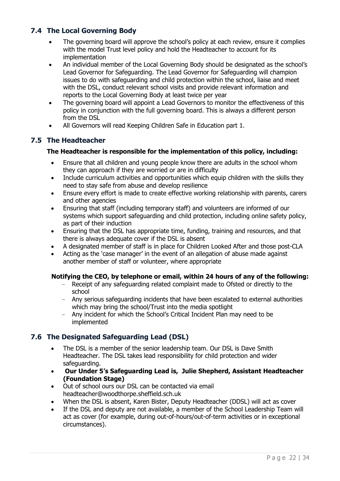#### <span id="page-26-0"></span>**7.4 The Local Governing Body**

- The governing board will approve the school's policy at each review, ensure it complies with the model Trust level policy and hold the Headteacher to account for its implementation
- An individual member of the Local Governing Body should be designated as the school's Lead Governor for Safeguarding. The Lead Governor for Safeguarding will champion issues to do with safeguarding and child protection within the school, liaise and meet with the DSL, conduct relevant school visits and provide relevant information and reports to the Local Governing Body at least twice per year
- The governing board will appoint a Lead Governors to monitor the effectiveness of this policy in conjunction with the full governing board. This is always a different person from the DSL
- All Governors will read Keeping Children Safe in Education part 1.

#### <span id="page-26-1"></span>**7.5 The Headteacher**

#### **The Headteacher is responsible for the implementation of this policy, including:**

- Ensure that all children and young people know there are adults in the school whom they can approach if they are worried or are in difficulty
- Include curriculum activities and opportunities which equip children with the skills they need to stay safe from abuse and develop resilience
- Ensure every effort is made to create effective working relationship with parents, carers and other agencies
- Ensuring that staff (including temporary staff) and volunteers are informed of our systems which support safeguarding and child protection, including online safety policy, as part of their induction
- Ensuring that the DSL has appropriate time, funding, training and resources, and that there is always adequate cover if the DSL is absent
- A designated member of staff is in place for Children Looked After and those post-CLA
- Acting as the 'case manager' in the event of an allegation of abuse made against another member of staff or volunteer, where appropriate

#### **Notifying the CEO, by telephone or email, within 24 hours of any of the following:**

- − Receipt of any safeguarding related complaint made to Ofsted or directly to the school
- − Any serious safeguarding incidents that have been escalated to external authorities which may bring the school/Trust into the media spotlight
- − Any incident for which the School's Critical Incident Plan may need to be implemented

#### <span id="page-26-2"></span>**7.6 The Designated Safeguarding Lead (DSL)**

- The DSL is a member of the senior leadership team. Our DSL is Dave Smith Headteacher. The DSL takes lead responsibility for child protection and wider safeguarding.
- **Our Under 5's Safeguarding Lead is, Julie Shepherd, Assistant Headteacher (Foundation Stage)**
- Out of school ours our DSL can be contacted via email headteacher@woodthorpe.sheffield.sch.uk
- When the DSL is absent, Karen Bister, Deputy Headteacher (DDSL) will act as cover
- If the DSL and deputy are not available, a member of the School Leadership Team will act as cover (for example, during out-of-hours/out-of-term activities or in exceptional circumstances).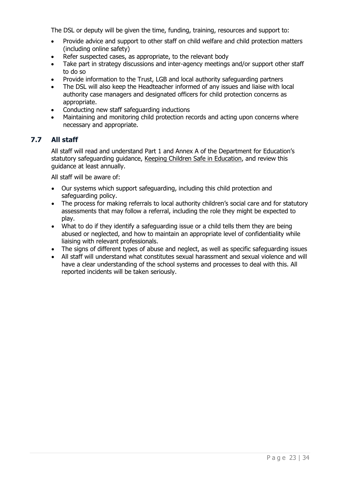The DSL or deputy will be given the time, funding, training, resources and support to:

- Provide advice and support to other staff on child welfare and child protection matters (including online safety)
- Refer suspected cases, as appropriate, to the relevant body
- Take part in strategy discussions and inter-agency meetings and/or support other staff to do so
- Provide information to the Trust, LGB and local authority safeguarding partners
- The DSL will also keep the Headteacher informed of any issues and liaise with local authority case managers and designated officers for child protection concerns as appropriate.
- Conducting new staff safeguarding inductions
- Maintaining and monitoring child protection records and acting upon concerns where necessary and appropriate.

#### <span id="page-27-0"></span>**7.7 All staff**

All staff will read and understand Part 1 and Annex A of the Department for Education's statutory safeguarding guidance, [Keeping Children Safe in Education,](https://www.gov.uk/government/publications/keeping-children-safe-in-education--2) and review this guidance at least annually.

All staff will be aware of:

- Our systems which support safeguarding, including this child protection and safeguarding policy.
- The process for making referrals to local authority children's social care and for statutory assessments that may follow a referral, including the role they might be expected to play.
- What to do if they identify a safeguarding issue or a child tells them they are being abused or neglected, and how to maintain an appropriate level of confidentiality while liaising with relevant professionals.
- The signs of different types of abuse and neglect, as well as specific safeguarding issues
- All staff will understand what constitutes sexual harassment and sexual violence and will have a clear understanding of the school systems and processes to deal with this. All reported incidents will be taken seriously.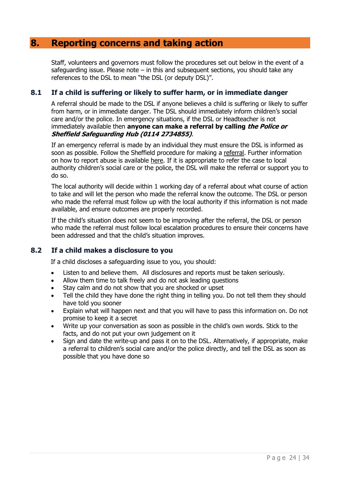## <span id="page-28-0"></span>**8. Reporting concerns and taking action**

Staff, volunteers and governors must follow the procedures set out below in the event of a safeguarding issue. Please note  $-$  in this and subsequent sections, you should take any references to the DSL to mean "the DSL (or deputy DSL)".

#### <span id="page-28-1"></span>**8.1 If a child is suffering or likely to suffer harm, or in immediate danger**

A referral should be made to the DSL if anyone believes a child is suffering or likely to suffer from harm, or in immediate danger. The DSL should immediately inform children's social care and/or the police. In emergency situations, if the DSL or Headteacher is not immediately available then **anyone can make a referral by calling the Police or Sheffield Safeguarding Hub (0114 2734855)**.

If an emergency referral is made by an individual they must ensure the DSL is informed as soon as possible. Follow the Sheffield procedure for making a [referral.](https://www.safeguardingsheffieldchildren.org/assets/1/referring_your_safeguarding_concerns_sept_21.pdf) Further information on how to report abuse is available [here.](https://www.gov.uk/report-child-abuse-to-local-council) If it is appropriate to refer the case to local authority children's social care or the police, the DSL will make the referral or support you to do so.

The local authority will decide within 1 working day of a referral about what course of action to take and will let the person who made the referral know the outcome. The DSL or person who made the referral must follow up with the local authority if this information is not made available, and ensure outcomes are properly recorded.

If the child's situation does not seem to be improving after the referral, the DSL or person who made the referral must follow local escalation procedures to ensure their concerns have been addressed and that the child's situation improves.

#### <span id="page-28-2"></span>**8.2 If a child makes a disclosure to you**

If a child discloses a safeguarding issue to you, you should:

- Listen to and believe them. All disclosures and reports must be taken seriously.
- Allow them time to talk freely and do not ask leading questions
- Stay calm and do not show that you are shocked or upset
- Tell the child they have done the right thing in telling you. Do not tell them they should have told you sooner
- Explain what will happen next and that you will have to pass this information on. Do not promise to keep it a secret
- Write up your conversation as soon as possible in the child's own words. Stick to the facts, and do not put your own judgement on it
- Sign and date the write-up and pass it on to the DSL. Alternatively, if appropriate, make a referral to children's social care and/or the police directly, and tell the DSL as soon as possible that you have done so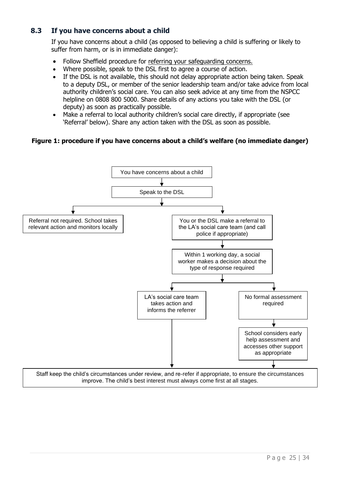#### <span id="page-29-0"></span>**8.3 If you have concerns about a child**

If you have concerns about a child (as opposed to believing a child is suffering or likely to suffer from harm, or is in immediate danger):

- Follow Sheffield procedure for referring [your safeguarding concerns.](https://www.safeguardingsheffieldchildren.org/assets/1/referring_your_safeguarding_concerns_sept_21.pdf)
- Where possible, speak to the DSL first to agree a course of action.
- If the DSL is not available, this should not delay appropriate action being taken. Speak to a deputy DSL, or member of the senior leadership team and/or take advice from local authority children's social care. You can also seek advice at any time from the NSPCC helpline on 0808 800 5000. Share details of any actions you take with the DSL (or deputy) as soon as practically possible.
- Make a referral to local authority children's social care directly, if appropriate (see 'Referral' below). Share any action taken with the DSL as soon as possible.

#### **Figure 1: procedure if you have concerns about a child's welfare (no immediate danger)**

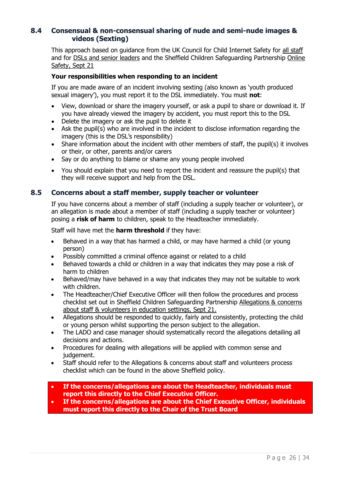#### <span id="page-30-0"></span>**8.4 Consensual & non-consensual sharing of nude and semi-nude images & videos (Sexting)**

This approach based on guidance from the UK Council for Child Internet Safety for [all staff](https://assets.publishing.service.gov.uk/government/uploads/system/uploads/attachment_data/file/647389/Overview_of_Sexting_Guidance.pdf) and for [DSLs and senior leaders](https://assets.publishing.service.gov.uk/government/uploads/system/uploads/attachment_data/file/609874/6_2939_SP_NCA_Sexting_In_Schools_FINAL_Update_Jan17.pdf) and the Sheffield Children Safeguarding Partnership [Online](https://www.safeguardingsheffieldchildren.org/assets/1/online_safety___risk_assessment_sept_21.pdf)  [Safety, Sept 21](https://www.safeguardingsheffieldchildren.org/assets/1/online_safety___risk_assessment_sept_21.pdf)

#### **Your responsibilities when responding to an incident**

If you are made aware of an incident involving sexting (also known as 'youth produced sexual imagery'), you must report it to the DSL immediately. You must **not**:

- View, download or share the imagery yourself, or ask a pupil to share or download it. If you have already viewed the imagery by accident, you must report this to the DSL
- Delete the imagery or ask the pupil to delete it
- Ask the pupil(s) who are involved in the incident to disclose information regarding the imagery (this is the DSL's responsibility)
- Share information about the incident with other members of staff, the pupil(s) it involves or their, or other, parents and/or carers
- Say or do anything to blame or shame any young people involved
- You should explain that you need to report the incident and reassure the pupil(s) that they will receive support and help from the DSL.

#### <span id="page-30-1"></span>**8.5 Concerns about a staff member, supply teacher or volunteer**

If you have concerns about a member of staff (including a supply teacher or volunteer), or an allegation is made about a member of staff (including a supply teacher or volunteer) posing a **risk of harm** to children, speak to the Headteacher immediately.

Staff will have met the **harm threshold** if they have:

- Behaved in a way that has harmed a child, or may have harmed a child (or young person)
- Possibly committed a criminal offence against or related to a child
- Behaved towards a child or children in a way that indicates they may pose a risk of harm to children
- Behaved/may have behaved in a way that indicates they may not be suitable to work with children.
- The Headteacher/Chief Executive Officer will then follow the procedures and process checklist set out in Sheffield Children Safeguarding Partnership [Allegations & concerns](https://www.safeguardingsheffieldchildren.org/assets/1/allegations___concerns_about_staff___volunteers_sept_21.pdf)  [about staff & volunteers in education settings, Sept 21.](https://www.safeguardingsheffieldchildren.org/assets/1/allegations___concerns_about_staff___volunteers_sept_21.pdf)
- Allegations should be responded to quickly, fairly and consistently, protecting the child or young person whilst supporting the person subject to the allegation.
- The LADO and case manager should systematically record the allegations detailing all decisions and actions.
- Procedures for dealing with allegations will be applied with common sense and judgement.
- Staff should refer to the Allegations & concerns about staff and volunteers process checklist which can be found in the above Sheffield policy.
- **If the concerns/allegations are about the Headteacher, individuals must report this directly to the Chief Executive Officer.**
- **If the concerns/allegations are about the Chief Executive Officer, individuals must report this directly to the Chair of the Trust Board**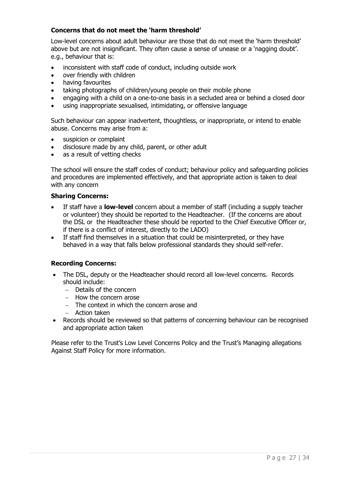#### **Concerns that do not meet the 'harm threshold'**

Low-level concerns about adult behaviour are those that do not meet the 'harm threshold' above but are not insignificant. They often cause a sense of unease or a 'nagging doubt'. e.g., behaviour that is:

- inconsistent with staff code of conduct, including outside work
- over friendly with children
- having favourites
- taking photographs of children/young people on their mobile phone
- engaging with a child on a one-to-one basis in a secluded area or behind a closed door
- using inappropriate sexualised, intimidating, or offensive language

Such behaviour can appear inadvertent, thoughtless, or inappropriate, or intend to enable abuse. Concerns may arise from a:

- suspicion or complaint
- disclosure made by any child, parent, or other adult
- as a result of vetting checks

The school will ensure the staff codes of conduct; behaviour policy and safeguarding policies and procedures are implemented effectively, and that appropriate action is taken to deal with any concern

#### **Sharing Concerns:**

- If staff have a **low-level** concern about a member of staff (including a supply teacher or volunteer) they should be reported to the Headteacher. (If the concerns are about the DSL or the Headteacher these should be reported to the Chief Executive Officer or, if there is a conflict of interest, directly to the LADO)
- If staff find themselves in a situation that could be misinterpreted, or they have behaved in a way that falls below professional standards they should self-refer.

#### **Recording Concerns:**

- The DSL, deputy or the Headteacher should record all low-level concerns. Records should include:
	- − Details of the concern
	- − How the concern arose
	- − The context in which the concern arose and
	- − Action taken
- Records should be reviewed so that patterns of concerning behaviour can be recognised and appropriate action taken

Please refer to the Trust's Low Level Concerns Policy and the Trust's Managing allegations Against Staff Policy for more information.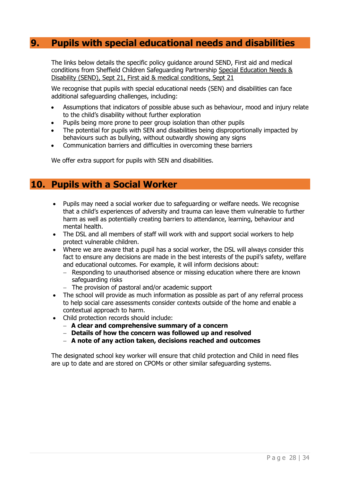## <span id="page-32-0"></span>**9. Pupils with special educational needs and disabilities**

The links below details the specific policy guidance around SEND, First aid and medical conditions from Sheffield Children Safeguarding Partnership [Special Education Needs &](https://www.safeguardingsheffieldchildren.org/assets/1/special_education_needs___disability_send_sept_21.pdf)  [Disability \(SEND\), Sept 21,](https://www.safeguardingsheffieldchildren.org/assets/1/special_education_needs___disability_send_sept_21.pdf) [First aid & medical conditions, Sept 21](https://www.safeguardingsheffieldchildren.org/assets/1/first_aid___medical_conditions_sept_21.pdf)

We recognise that pupils with special educational needs (SEN) and disabilities can face additional safeguarding challenges, including:

- Assumptions that indicators of possible abuse such as behaviour, mood and injury relate to the child's disability without further exploration
- Pupils being more prone to peer group isolation than other pupils
- The potential for pupils with SEN and disabilities being disproportionally impacted by behaviours such as bullying, without outwardly showing any signs
- Communication barriers and difficulties in overcoming these barriers

We offer extra support for pupils with SEN and disabilities.

## <span id="page-32-1"></span>**10. Pupils with a Social Worker**

- Pupils may need a social worker due to safeguarding or welfare needs. We recognise that a child's experiences of adversity and trauma can leave them vulnerable to further harm as well as potentially creating barriers to attendance, learning, behaviour and mental health.
- The DSL and all members of staff will work with and support social workers to help protect vulnerable children.
- Where we are aware that a pupil has a social worker, the DSL will always consider this fact to ensure any decisions are made in the best interests of the pupil's safety, welfare and educational outcomes. For example, it will inform decisions about:
	- − Responding to unauthorised absence or missing education where there are known safeguarding risks
	- − The provision of pastoral and/or academic support
- The school will provide as much information as possible as part of any referral process to help social care assessments consider contexts outside of the home and enable a contextual approach to harm.
- Child protection records should include:
	- − **A clear and comprehensive summary of a concern**
	- − **Details of how the concern was followed up and resolved**
	- − **A note of any action taken, decisions reached and outcomes**

The designated school key worker will ensure that child protection and Child in need files are up to date and are stored on CPOMs or other similar safeguarding systems.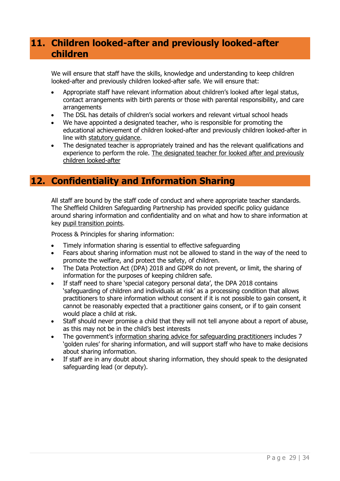## <span id="page-33-0"></span>**11. Children looked-after and previously looked-after children**

We will ensure that staff have the skills, knowledge and understanding to keep children looked-after and previously children looked-after safe. We will ensure that:

- Appropriate staff have relevant information about children's looked after legal status, contact arrangements with birth parents or those with parental responsibility, and care arrangements
- The DSL has details of children's social workers and relevant virtual school heads
- We have appointed a designated teacher, who is responsible for promoting the educational achievement of children looked-after and previously children looked-after in line with [statutory guidance.](https://www.gov.uk/government/publications/designated-teacher-for-looked-after-children)
- The designated teacher is appropriately trained and has the relevant qualifications and experience to perform the role. The designated teacher for looked after and previously [children looked-after](https://assets.publishing.service.gov.uk/government/uploads/system/uploads/attachment_data/file/683561/The_designated_teacher_for_looked-after_and_previously_looked-after_children.pdf)

## <span id="page-33-1"></span>**12. Confidentiality and Information Sharing**

All staff are bound by the staff code of conduct and where appropriate teacher standards. The Sheffield Children Safeguarding Partnership has provided specific policy guidance around sharing information and confidentiality and on what and how to share information at key pupil [transition](https://www.safeguardingsheffieldchildren.org/assets/1/pupil_transitions_sept_21.pdf) points.

Process & Principles for sharing information:

- Timely information sharing is essential to effective safeguarding
- Fears about sharing information must not be allowed to stand in the way of the need to promote the welfare, and protect the safety, of children.
- The Data Protection Act (DPA) 2018 and GDPR do not prevent, or limit, the sharing of information for the purposes of keeping children safe.
- If staff need to share 'special category personal data', the DPA 2018 contains 'safeguarding of children and individuals at risk' as a processing condition that allows practitioners to share information without consent if it is not possible to gain consent, it cannot be reasonably expected that a practitioner gains consent, or if to gain consent would place a child at risk.
- Staff should never promise a child that they will not tell anyone about a report of abuse, as this may not be in the child's best interests
- The government's [information sharing advice for safeguarding practitioners](https://www.gov.uk/government/publications/safeguarding-practitioners-information-sharing-advice) includes 7 'golden rules' for sharing information, and will support staff who have to make decisions about sharing information.
- If staff are in any doubt about sharing information, they should speak to the designated safeguarding lead (or deputy).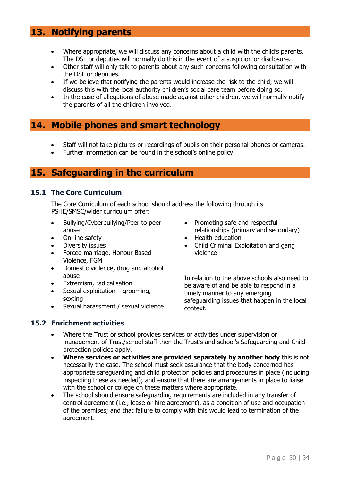## <span id="page-34-0"></span>**13. Notifying parents**

- Where appropriate, we will discuss any concerns about a child with the child's parents. The DSL or deputies will normally do this in the event of a suspicion or disclosure.
- Other staff will only talk to parents about any such concerns following consultation with the DSL or deputies.
- If we believe that notifying the parents would increase the risk to the child, we will discuss this with the local authority children's social care team before doing so.
- In the case of allegations of abuse made against other children, we will normally notify the parents of all the children involved.

## <span id="page-34-1"></span>**14. Mobile phones and smart technology**

- Staff will not take pictures or recordings of pupils on their personal phones or cameras.
- Further information can be found in the school's online policy.

## <span id="page-34-2"></span>**15. Safeguarding in the curriculum**

#### <span id="page-34-3"></span>**15.1 The Core Curriculum**

The Core Curriculum of each school should address the following through its PSHE/SMSC/wider curriculum offer:

- Bullying/Cyberbullying/Peer to peer abuse
- On-line safety
- Diversity issues
- Forced marriage, Honour Based Violence, FGM
- Domestic violence, drug and alcohol abuse
- Extremism, radicalisation
- Sexual exploitation  $-$  grooming, sexting
- Sexual harassment / sexual violence
- Promoting safe and respectful relationships (primary and secondary)
- Health education
- Child Criminal Exploitation and gang violence

In relation to the above schools also need to be aware of and be able to respond in a timely manner to any emerging safeguarding issues that happen in the local context.

# <span id="page-34-4"></span>**15.2 Enrichment activities**

- Where the Trust or school provides services or activities under supervision or management of Trust/school staff then the Trust's and school's Safeguarding and Child protection policies apply.
- **Where services or activities are provided separately by another body** this is not necessarily the case. The school must seek assurance that the body concerned has appropriate safeguarding and child protection policies and procedures in place (including inspecting these as needed); and ensure that there are arrangements in place to liaise with the school or college on these matters where appropriate.
- The school should ensure safeguarding requirements are included in any transfer of control agreement (i.e., lease or hire agreement), as a condition of use and occupation of the premises; and that failure to comply with this would lead to termination of the agreement.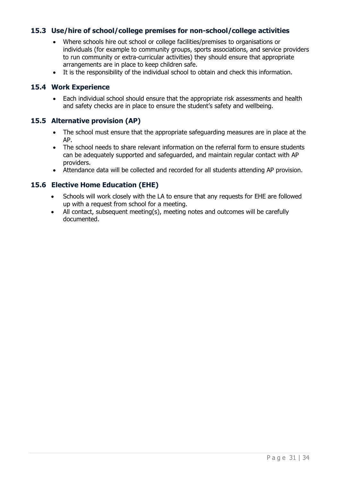#### <span id="page-35-0"></span>**15.3 Use/hire of school/college premises for non-school/college activities**

- Where schools hire out school or college facilities/premises to organisations or individuals (for example to community groups, sports associations, and service providers to run community or extra-curricular activities) they should ensure that appropriate arrangements are in place to keep children safe.
- It is the responsibility of the individual school to obtain and check this information.

#### <span id="page-35-1"></span>**15.4 Work Experience**

• Each individual school should ensure that the appropriate risk assessments and health and safety checks are in place to ensure the student's safety and wellbeing.

#### <span id="page-35-2"></span>**15.5 Alternative provision (AP)**

- The school must ensure that the appropriate safeguarding measures are in place at the AP.
- The school needs to share relevant information on the referral form to ensure students can be adequately supported and safeguarded, and maintain regular contact with AP providers.
- Attendance data will be collected and recorded for all students attending AP provision.

#### <span id="page-35-3"></span>**15.6 Elective Home Education (EHE)**

- Schools will work closely with the LA to ensure that any requests for EHE are followed up with a request from school for a meeting.
- All contact, subsequent meeting(s), meeting notes and outcomes will be carefully documented.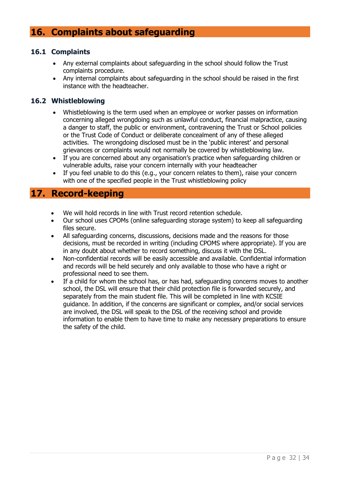## <span id="page-36-0"></span>**16. Complaints about safeguarding**

#### <span id="page-36-1"></span>**16.1 Complaints**

- Any external complaints about safeguarding in the school should follow the Trust complaints procedure.
- Any internal complaints about safeguarding in the school should be raised in the first instance with the headteacher.

#### <span id="page-36-2"></span>**16.2 Whistleblowing**

- Whistleblowing is the term used when an employee or worker passes on information concerning alleged wrongdoing such as unlawful conduct, financial malpractice, causing a danger to staff, the public or environment, contravening the Trust or School policies or the Trust Code of Conduct or deliberate concealment of any of these alleged activities. The wrongdoing disclosed must be in the 'public interest' and personal grievances or complaints would not normally be covered by whistleblowing law.
- If you are concerned about any organisation's practice when safeguarding children or vulnerable adults, raise your concern internally with your headteacher
- If you feel unable to do this (e.g., your concern relates to them), raise your concern with one of the specified people in the Trust whistleblowing policy

## <span id="page-36-3"></span>**17. Record-keeping**

- We will hold records in line with Trust record retention schedule.
- Our school uses CPOMs (online safeguarding storage system) to keep all safeguarding files secure.
- All safeguarding concerns, discussions, decisions made and the reasons for those decisions, must be recorded in writing (including CPOMS where appropriate). If you are in any doubt about whether to record something, discuss it with the DSL.
- Non-confidential records will be easily accessible and available. Confidential information and records will be held securely and only available to those who have a right or professional need to see them.
- If a child for whom the school has, or has had, safeguarding concerns moves to another school, the DSL will ensure that their child protection file is forwarded securely, and separately from the main student file. This will be completed in line with KCSIE guidance. In addition, if the concerns are significant or complex, and/or social services are involved, the DSL will speak to the DSL of the receiving school and provide information to enable them to have time to make any necessary preparations to ensure the safety of the child.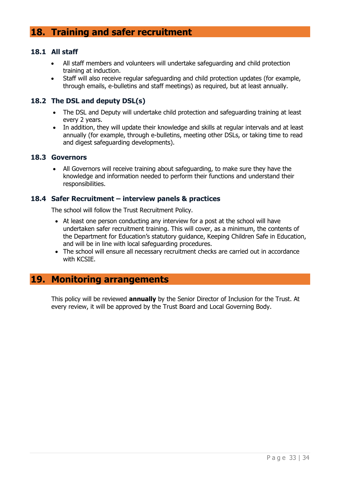## <span id="page-37-0"></span>**18. Training and safer recruitment**

#### <span id="page-37-1"></span>**18.1 All staff**

- All staff members and volunteers will undertake safeguarding and child protection training at induction.
- Staff will also receive regular safeguarding and child protection updates (for example, through emails, e-bulletins and staff meetings) as required, but at least annually.

#### <span id="page-37-2"></span>**18.2 The DSL and deputy DSL(s)**

- The DSL and Deputy will undertake child protection and safeguarding training at least every 2 years.
- In addition, they will update their knowledge and skills at regular intervals and at least annually (for example, through e-bulletins, meeting other DSLs, or taking time to read and digest safeguarding developments).

#### <span id="page-37-3"></span>**18.3 Governors**

• All Governors will receive training about safeguarding, to make sure they have the knowledge and information needed to perform their functions and understand their responsibilities.

#### <span id="page-37-4"></span>**18.4 Safer Recruitment – interview panels & practices**

The school will follow the Trust Recruitment Policy.

- At least one person conducting any interview for a post at the school will have undertaken safer recruitment training. This will cover, as a minimum, the contents of the Department for Education's statutory guidance, Keeping Children Safe in Education, and will be in line with local safeguarding procedures.
- The school will ensure all necessary recruitment checks are carried out in accordance with KCSIE.

## <span id="page-37-5"></span>**19. Monitoring arrangements**

This policy will be reviewed **annually** by the Senior Director of Inclusion for the Trust. At every review, it will be approved by the Trust Board and Local Governing Body.